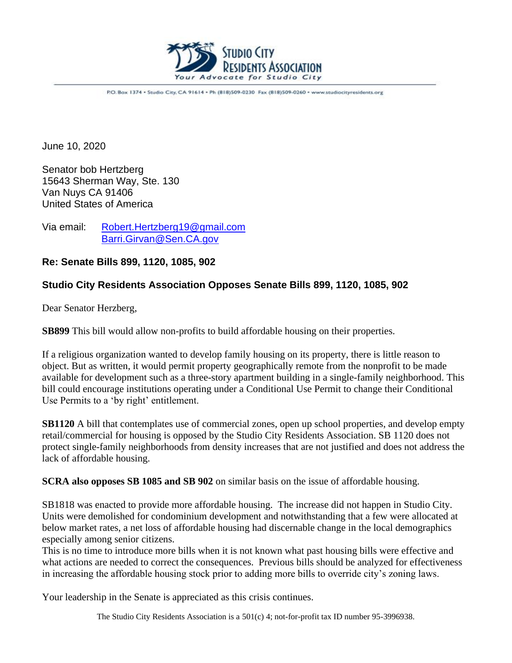

P.O. Box 1374 . Studio City, CA 91614 . Ph (818)509-0230 Fax (818)509-0260 . www.studiocityresidents.org

June 10, 2020

Senator bob Hertzberg 15643 Sherman Way, Ste. 130 Van Nuys CA 91406 United States of America

Via email: [Robert.Hertzberg19@gmail.com](mailto:Robert.Hertzberg19@gmail.com) [Barri.Girvan@Sen.CA.gov](mailto:Barri.Girvan@Sen.CA.gov)

**Re: Senate Bills 899, 1120, 1085, 902**

## **Studio City Residents Association Opposes Senate Bills 899, 1120, 1085, 902**

Dear Senator Herzberg,

**SB899** This bill would allow non-profits to build affordable housing on their properties.

If a religious organization wanted to develop family housing on its property, there is little reason to object. But as written, it would permit property geographically remote from the nonprofit to be made available for development such as a three-story apartment building in a single-family neighborhood. This bill could encourage institutions operating under a Conditional Use Permit to change their Conditional Use Permits to a 'by right' entitlement.

**SB1120** A bill that contemplates use of commercial zones, open up school properties, and develop empty retail/commercial for housing is opposed by the Studio City Residents Association. SB 1120 does not protect single-family neighborhoods from density increases that are not justified and does not address the lack of affordable housing.

**SCRA also opposes SB 1085 and SB 902** on similar basis on the issue of affordable housing.

SB1818 was enacted to provide more affordable housing. The increase did not happen in Studio City. Units were demolished for condominium development and notwithstanding that a few were allocated at below market rates, a net loss of affordable housing had discernable change in the local demographics especially among senior citizens.

This is no time to introduce more bills when it is not known what past housing bills were effective and what actions are needed to correct the consequences. Previous bills should be analyzed for effectiveness in increasing the affordable housing stock prior to adding more bills to override city's zoning laws.

Your leadership in the Senate is appreciated as this crisis continues.

The Studio City Residents Association is a 501(c) 4; not-for-profit tax ID number 95-3996938.